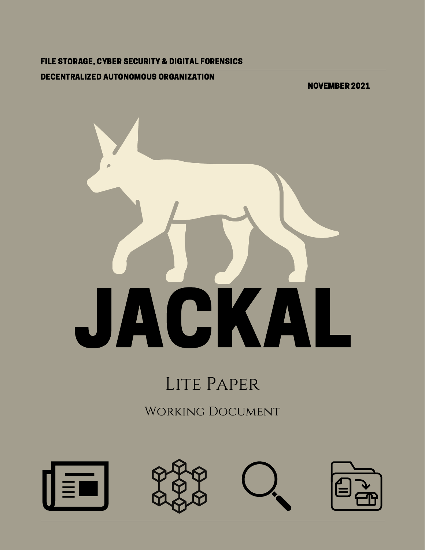#### FILE STORAGE, CYBER SECURITY & DIGITAL FORENSICS

#### DECENTRALIZED AUTONOMOUS ORGANIZATION

NOVEMBER 2021



### LITE PAPER

Working Document



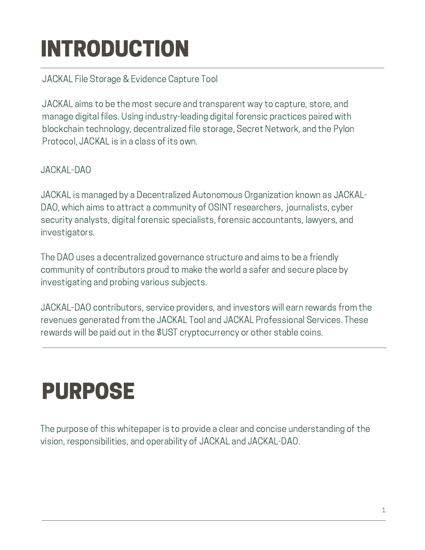# INTRODUCTION

#### JACKAL File Storage & Evidence Capture Tool

JACKAL aims to be the most secure and transparent way to capture, store, and manage digital files. Using industry-leading digital forensic practices paired with blockchain technology, decentralized file storage, Secret Network, and the Pylon Protocol, JACKAL is in a class of its own.

#### JACKAL-DAO

JACKAL is managed by a Decentralized Autonomous Organization known as JACKAL-DAO, which aims to attract a community of OSINT researchers, journalists, cyber security analysts, digital forensic specialists, forensic accountants, lawyers, and investigators.

The DAO uses a decentralized governance structure and aims to be a friendly community of contributors proud to make the world a safer and secure place by investigating and probing various subjects.

JACKAL-DAO contributors, service providers, and investors will earn rewards from the revenues generated from the JACKAL Tool and JACKAL Professional Services. These rewards will be paid out in the \$UST cryptocurrency or other stable coins.

## PURPOSE

The purpose of this whitepaper is to provide a clear and concise understanding of the vision, responsibilities, and operability of JACKAL and JACKAL-DAO.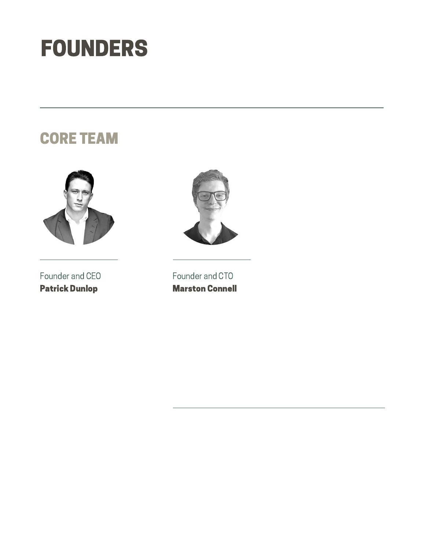## FOUNDERS

#### CORE TEAM



Founder and CEO Patrick Dunlop



Founder and CTO Marston Connell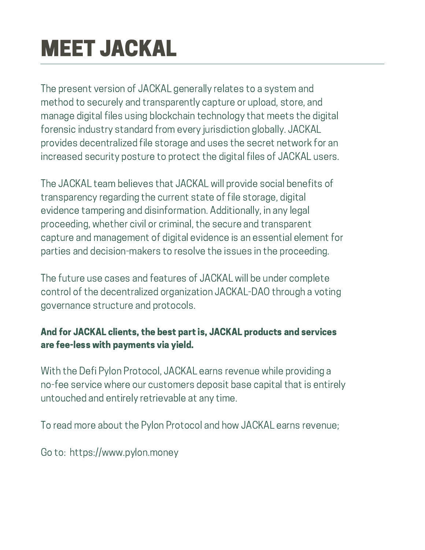# MEET JACKAL

The present version of JACKAL generally relates to a system and method to securely and transparently capture or upload, store, and manage digital files using blockchain technology that meets the digital forensic industry standard from every jurisdiction globally. JACKAL provides decentralized file storage and uses the secret network for an increased security posture to protect the digital files of JACKAL users.

The JACKAL team believes that JACKAL will provide social benefits of transparency regarding the current state of file storage, digital evidence tampering and disinformation. Additionally, in any legal proceeding, whether civil or criminal, the secure and transparent capture and management of digital evidence is an essential element for parties and decision-makers to resolve the issues in the proceeding.

The future use cases and features of JACKAL will be under complete control of the decentralized organization JACKAL-DAO through a voting governance structure and protocols.

#### And for JACKAL clients, the best part is, JACKAL products and services are fee-less with payments via yield.

With the Defi Pylon Protocol, JACKAL earns revenue while providing a no-fee service where our customers deposit base capital that is entirely untouched and entirely retrievable at any time.

To read more about the Pylon Protocol and how JACKAL earns revenue;

Go to: https://www.pylon.money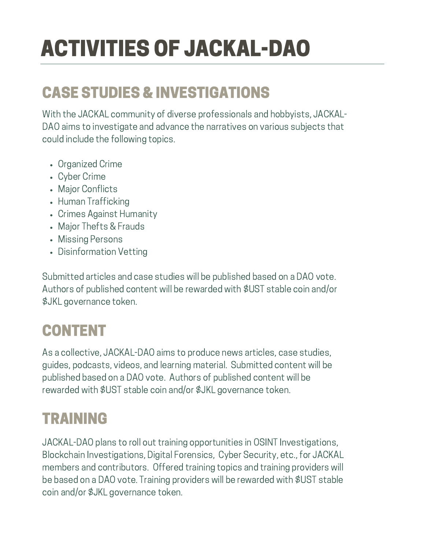# ACTIVITIES OF JACKAL-DAO

### CASE STUDIES & INVESTIGATIONS

With the JACKAL community of diverse professionals and hobbyists, JACKAL-DAO aims to investigate and advance the narratives on various subjects that could include the following topics.

- Organized Crime
- Cyber Crime
- Major Conflicts
- Human Trafficking
- Crimes Against Humanity
- Major Thefts & Frauds
- Missing Persons
- Disinformation Vetting

Submitted articles and case studies will be published based on a DAO vote. Authors of published content will be rewarded with \$UST stable coin and/or \$JKL governance token.

#### CONTENT

As a collective, JACKAL-DAO aims to produce news articles, case studies, guides, podcasts, videos, and learning material. Submitted content will be published based on a DAO vote. Authors of published content will be rewarded with \$UST stable coin and/or \$JKL governance token.

#### TRAINING

JACKAL-DAO plans to roll out training opportunities in OSINT Investigations, Blockchain Investigations, Digital Forensics, Cyber Security, etc., for JACKAL members and contributors. Offered training topics and training providers will be based on a DAO vote. Training providers will be rewarded with \$UST stable coin and/or \$JKL governance token.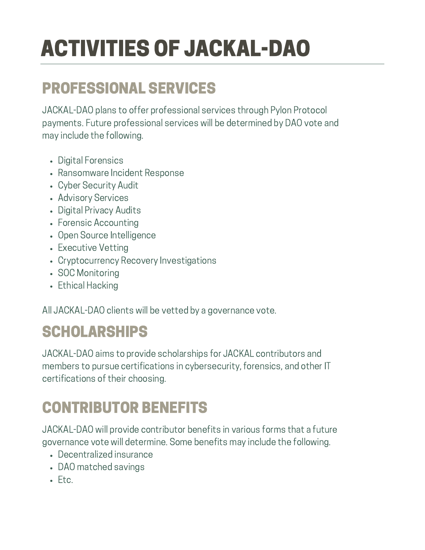# ACTIVITIES OF JACKAL-DAO

#### PROFESSIONAL SERVICES

JACKAL-DAO plans to offer professional services through Pylon Protocol payments. Future professional services will be determined by DAO vote and may include the following.

- Digital Forensics
- Ransomware Incident Response
- Cyber Security Audit
- Advisory Services
- Digital Privacy Audits
- Forensic Accounting
- Open Source Intelligence
- Executive Vetting
- Cryptocurrency Recovery Investigations
- SOC Monitoring
- Ethical Hacking

All JACKAL-DAO clients will be vetted by a governance vote.

#### **SCHOLARSHIPS**

JACKAL-DAO aims to provide scholarships for JACKAL contributors and members to pursue certifications in cybersecurity, forensics, and other IT certifications of their choosing.

### CONTRIBUTOR BENEFITS

JACKAL-DAO will provide contributor benefits in various forms that a future governance vote will determine. Some benefits may include the following.

- Decentralized insurance
- DAO matched savings
- $-$ Ftc.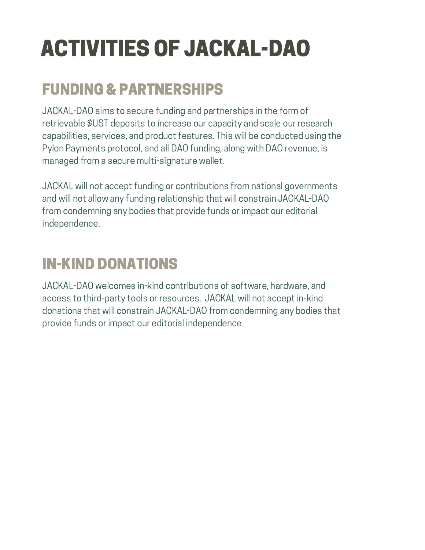# ACTIVITIES OF JACKAL-DAO

#### FUNDING & PARTNERSHIPS

JACKAL-DAO aims to secure funding and partnerships in the form of retrievable \$UST deposits to increase our capacity and scale our research capabilities, services, and product features. This will be conducted using the Pylon Payments protocol, and all DAO funding, along with DAO revenue, is managed from a secure multi-signature wallet.

JACKAL will not accept funding or contributions from national governments and will not allow any funding relationship that will constrain JACKAL-DAO from condemning any bodies that provide funds or impact our editorial independence.

#### IN-KIND DONATIONS

JACKAL-DAO welcomes in-kind contributions of software, hardware, and access to third-party tools or resources. JACKAL will not accept in-kind donations that will constrain JACKAL-DAO from condemning any bodies that provide funds or impact our editorial independence.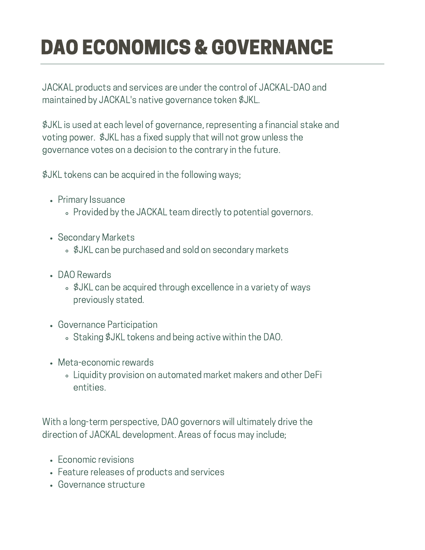JACKAL products and services are under the control of JACKAL-DAO and maintained by JACKAL's native governance token \$JKL.

\$JKL is used at each level of governance, representing a financial stake and voting power. \$JKL has a fixed supply that will not grow unless the governance votes on a decision to the contrary in the future.

\$JKL tokens can be acquired in the following ways;

- Primary Issuance
	- Provided by the JACKAL team directly to potential governors.
- Secondary Markets
	- \$JKL can be purchased and sold on secondary markets
- DAO Rewards
	- \$JKL can be acquired through excellence in a variety of ways previously stated.
- Governance Participation
	- Staking \$JKL tokens and being active within the DAO.
- Meta-economic rewards
	- Liquidity provision on automated market makers and other DeFi entities.

With a long-term perspective, DAO governors will ultimately drive the direction of JACKAL development. Areas of focus may include;

- Economic revisions
- Feature releases of products and services
- Governance structure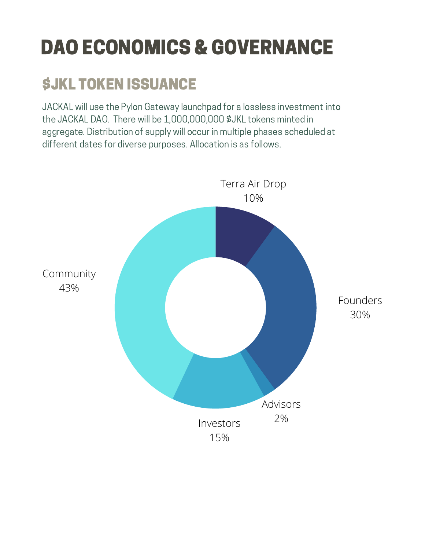### \$JKL TOKEN ISSUANCE

JACKAL will use the Pylon Gateway launchpad for a lossless investment into the JACKAL DAO. There will be 1,000,000,000 \$JKL tokens minted in aggregate. Distribution of supply will occur in multiple phases scheduled at different dates for diverse purposes. Allocation is as follows.

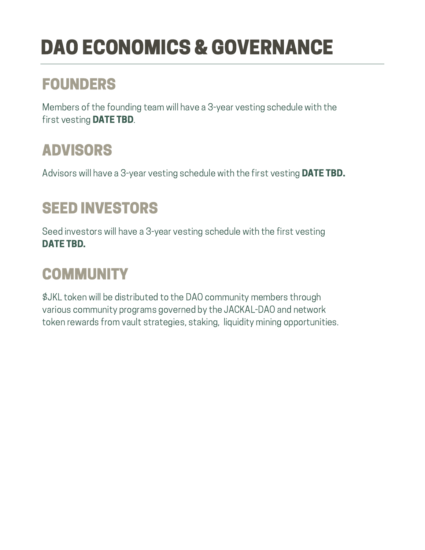### FOUNDERS

Members of the founding team will have a 3-year vesting schedule with the first vesting DATE TBD.

#### ADVISORS

Advisors will have a 3-year vesting schedule with the first vesting DATE TBD.

#### SEED INVESTORS

Seed investors will have a 3-year vesting schedule with the first vesting DATE TBD.

### **COMMUNITY**

\$JKL token will be distributed to the DAO community members through various community programs governed by the JACKAL-DAO and network token rewards from vault strategies, staking, liquidity mining opportunities.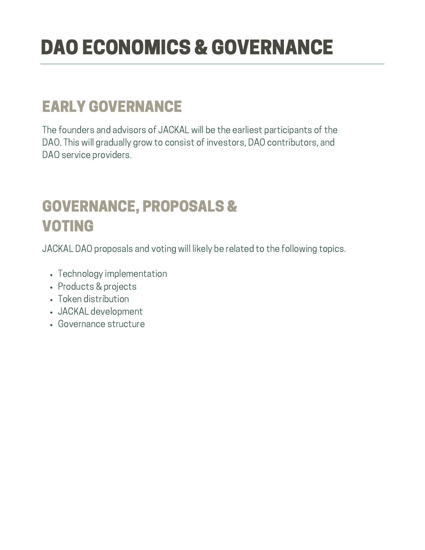#### EARLY GOVERNANCE

The founders and advisors of JACKAL will be the earliest participants of the DAO. This will gradually grow to consist of investors, DAO contributors, and DAO service providers.

#### GOVERNANCE, PROPOSALS & VOTING

JACKAL DAO proposals and voting will likely be related to the following topics.

- Technology implementation
- Products & projects
- Token distribution
- JACKAL development
- Governance structure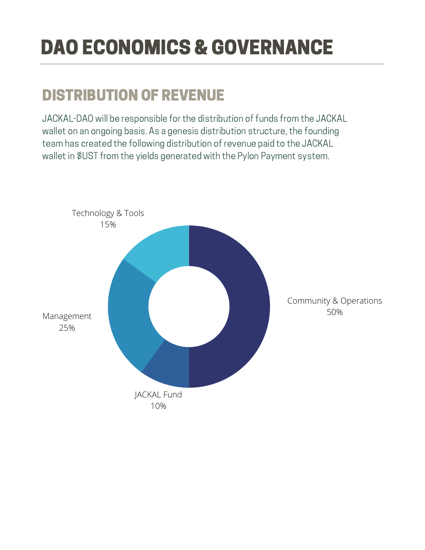#### DISTRIBUTION OF REVENUE

JACKAL-DAO will be responsible for the distribution of funds from the JACKAL wallet on an ongoing basis. As a genesis distribution structure, the founding team has created the following distribution of revenue paid to the JACKAL wallet in \$UST from the yields generated with the Pylon Payment system.

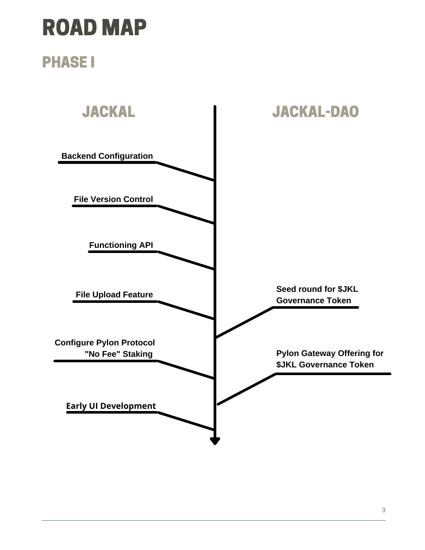### ROAD MAP

#### PHASE I

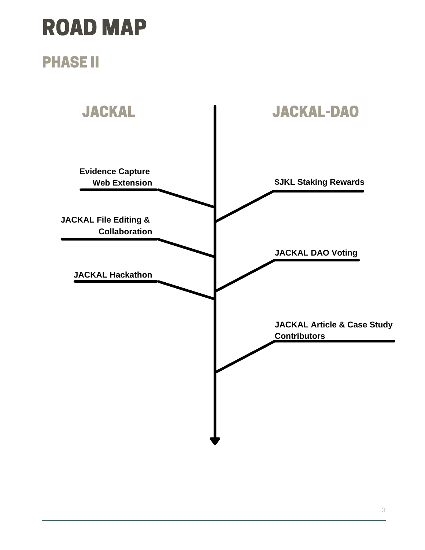### ROAD MAP

#### PHASE II

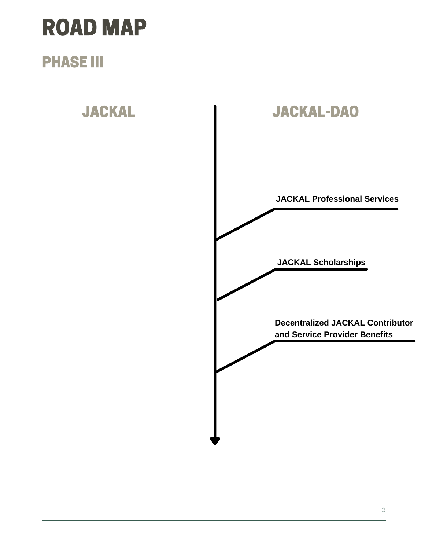### ROAD MAP

#### PHASE III

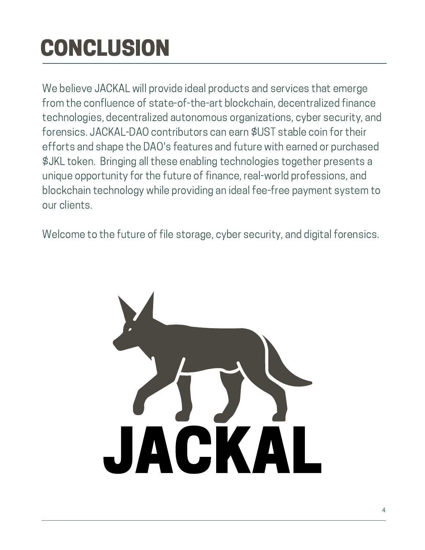# **CONCLUSION**

We believe JACKAL will provide ideal products and services that emerge from the confluence of state-of-the-art blockchain, decentralized finance technologies, decentralized autonomous organizations, cyber security, and forensics. JACKAL-DAO contributors can earn \$UST stable coin for their efforts and shape the DAO's features and future with earned or purchased \$JKL token. Bringing all these enabling technologies together presents a unique opportunity for the future of finance, real-world professions, and blockchain technology while providing an ideal fee-free payment system to our clients.

Welcome to the future of file storage, cyber security, and digital forensics.

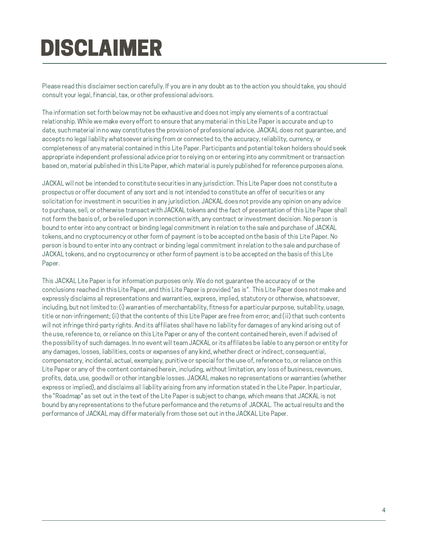## DISCLAIMER

Please read this disclaimer section carefully. If you are in any doubt as to the action you should take, you should consult your legal, financial, tax, or other professional advisors.

The information set forth below may not be exhaustive and does not imply any elements of a contractual relationship. While we make every effort to ensure that any material in this Lite Paper is accurate and up to date, such material in no way constitutes the provision of professional advice. JACKAL does not guarantee, and accepts no legal liability whatsoever arising from or connected to, the accuracy, reliability, currency, or completeness of any material contained in this Lite Paper. Participants and potential token holders should seek appropriate independent professional advice prior to relying on or entering into any commitment or transaction based on, material published in this Lite Paper, which material is purely published for reference purposes alone.

JACKAL will not be intended to constitute securities in any jurisdiction. This Lite Paper does not constitute a prospectus or offer document of any sort and is not intended to constitute an offer of securities or any solicitation for investment in securities in any jurisdiction. JACKAL does not provide any opinion on any advice to purchase, sell, or otherwise transact with JACKAL tokens and the fact of presentation of this Lite Paper shall not form the basis of, or be relied upon in connection with, any contract or investment decision. No person is bound to enter into any contract or binding legal commitment in relation to the sale and purchase of JACKAL tokens, and no cryptocurrency or other form of payment is to be accepted on the basis of this Lite Paper. No person is bound to enter into any contract or binding legal commitment in relation to the sale and purchase of JACKAL tokens, and no cryptocurrency or other form of payment is to be accepted on the basis of this Lite Paper.

This JACKAL Lite Paper is for information purposes only. We do not guarantee the accuracy of or the conclusions reached in this Lite Paper, and this Lite Paper is provided "as is". This Lite Paper does not make and expressly disclaims all representations and warranties, express, implied, statutory or otherwise, whatsoever, including, but not limited to: (i) warranties of merchantability, fitness for a particular purpose, suitability, usage, title or non-infringement; (ii) that the contents of this Lite Paper are free from error; and (iii) that such contents will not infringe third-party rights. And its affiliates shall have no liability for damages of any kind arising out of the use, reference to, or reliance on this Lite Paper or any of the content contained herein, even if advised of the possibility of such damages. In no event will team JACKAL or its affiliates be liable to any person or entity for any damages, losses, liabilities, costs or expenses of any kind, whether direct or indirect, consequential, compensatory, incidental, actual, exemplary, punitive or special for the use of, reference to, or reliance on this Lite Paper or any of the content contained herein, including, without limitation, any loss of business, revenues, profits, data, use, goodwill or other intangible losses. JACKAL makes no representations or warranties (whether express or implied), and disclaims all liability arising from any information stated in the Lite Paper. In particular, the "Roadmap" as set out in the text of the Lite Paper is subject to change, which means that JACKAL is not bound by any representations to the future performance and the returns of JACKAL. The actual results and the performance of JACKAL may differ materially from those set out in the JACKAL Lite Paper.